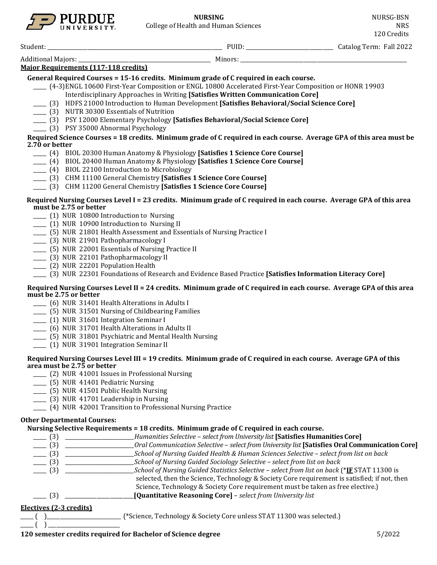

Student: \_\_\_\_\_\_\_\_\_\_\_\_\_\_\_\_\_\_\_\_\_\_\_\_\_\_\_\_\_\_\_\_\_\_\_\_\_\_\_\_\_\_\_\_\_\_\_\_\_\_\_\_\_\_\_\_\_\_\_\_\_\_\_\_\_\_ PUID: \_\_\_\_\_\_\_\_\_\_\_\_\_\_\_\_\_\_\_\_\_\_\_\_\_\_\_\_\_\_\_\_\_ Catalog Term: Fall 2022

| <b>Additional Majors:</b> |                                             | Minors: |  |
|---------------------------|---------------------------------------------|---------|--|
|                           | <b>Major Requirements (117-118 credits)</b> |         |  |

**General Required Courses = 15-16 credits. Minimum grade of C required in each course.**

- \_\_\_\_\_ (4-3)ENGL 10600 First-Year Composition or ENGL 10800 Accelerated First-Year Composition or HONR 19903 Interdisciplinary Approaches in Writing **[Satisfies Written Communication Core]**
	- \_\_\_\_\_ (3) HDFS 21000 Introduction to Human Development **[Satisfies Behavioral/Social Science Core]**
- \_\_\_\_\_ (3) NUTR 30300 Essentials of Nutrition
- \_\_\_\_\_ (3) PSY 12000 Elementary Psychology **[Satisfies Behavioral/Social Science Core]**
- \_\_\_\_\_ (3) PSY 35000 Abnormal Psychology

#### **Required Science Courses = 18 credits. Minimum grade of C required in each course. Average GPA of this area must be 2.70 or better**

- \_\_\_\_\_ (4) BIOL 20300 Human Anatomy & Physiology **[Satisfies 1 Science Core Course]**
- \_\_\_\_\_ (4) BIOL 20400 Human Anatomy & Physiology **[Satisfies 1 Science Core Course]**
- \_\_\_\_\_ (4) BIOL 22100 Introduction to Microbiology
- \_\_\_\_\_ (3) CHM 11100 General Chemistry **[Satisfies 1 Science Core Course]**
- \_\_\_\_\_ (3) CHM 11200 General Chemistry **[Satisfies 1 Science Core Course]**

### **Required Nursing Courses Level I = 23 credits. Minimum grade of C required in each course. Average GPA of this area must be 2.75 or better**

- \_\_\_\_\_ (1) NUR 10800 Introduction to Nursing
- \_\_\_\_\_ (1) NUR 10900 Introduction to Nursing II
- \_\_\_\_\_ (5) NUR 21801 Health Assessment and Essentials of Nursing Practice I
- \_\_\_\_\_ (3) NUR 21901 Pathopharmacology I
- \_\_\_\_\_ (5) NUR 22001 Essentials of Nursing Practice II
- \_\_\_\_\_ (3) NUR 22101 Pathopharmacology II
- \_\_\_\_\_ (2) NUR 22201 Population Health
- \_\_\_\_\_ (3) NUR 22301 Foundations of Research and Evidence Based Practice **[Satisfies Information Literacy Core]**

#### **Required Nursing Courses Level II = 24 credits. Minimum grade of C required in each course. Average GPA of this area must be 2.75 or better**

- \_\_\_\_\_ (6) NUR 31401 Health Alterations in Adults I
- \_\_\_\_\_ (5) NUR 31501 Nursing of Childbearing Families
- \_\_\_\_\_ (1) NUR 31601 Integration Seminar I
- \_\_\_\_\_ (6) NUR 31701 Health Alterations in Adults II
- \_\_\_\_\_ (5) NUR 31801 Psychiatric and Mental Health Nursing
- \_\_\_\_\_ (1) NUR 31901 Integration Seminar II

### **Required Nursing Courses Level III = 19 credits. Minimum grade of C required in each course. Average GPA of this area must be 2.75 or better**

- \_\_\_\_\_ (2) NUR 41001 Issues in Professional Nursing
- \_\_\_\_\_ (5) NUR 41401 Pediatric Nursing
- \_\_\_\_\_ (5) NUR 41501 Public Health Nursing
- \_\_\_\_\_ (3) NUR 41701 Leadership in Nursing
- \_\_\_\_\_ (4) NUR 42001 Transition to Professional Nursing Practice

### **Other Departmental Courses:**

### **Nursing Selective Requirements = 18 credits. Minimum grade of C required in each course.**

| (3)                     | Humanities Selective - select from University list [Satisfies Humanities Core]                 |
|-------------------------|------------------------------------------------------------------------------------------------|
| $- (3)$                 | Oral Communication Selective - select from University list [Satisfies Oral Communication Core] |
| $- (3)$                 | School of Nursing Guided Health & Human Sciences Selective - select from list on back          |
| $- (3)$                 | School of Nursing Guided Sociology Selective - select from list on back                        |
| $\equiv$ (3)            | School of Nursing Guided Statistics Selective - select from list on back (*IF STAT 11300 is    |
|                         | selected, then the Science, Technology & Society Core requirement is satisfied; if not, then   |
|                         | Science, Technology & Society Core requirement must be taken as free elective.)                |
| (3)                     | [Quantitative Reasoning Core] - select from University list                                    |
| Electives (2-3 credits) |                                                                                                |

 $_{-}$ ( )  $_{-}$ 

\_\_\_\_\_ ( )\_\_\_\_\_\_\_\_\_\_\_\_\_\_\_\_\_\_\_\_\_\_\_\_\_\_\_\_ (\*Science, Technology & Society Core unless STAT 11300 was selected.)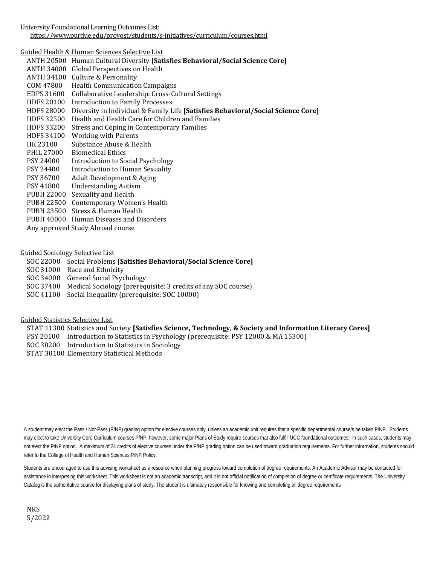University Foundational Learning Outcomes List:

<https://www.purdue.edu/provost/students/s-initiatives/curriculum/courses.html>

Guided Health & Human Sciences Selective List

ANTH 20500 Human Cultural Diversity **[Satisfies Behavioral/Social Science Core]** ANTH 34000 Global Perspectives on Health ANTH 34100 Culture & Personality<br>COM 47800 Health Communicatio Health Communication Campaigns EDPS 31600 Collaborative Leadership: Cross-Cultural Settings HDFS 20100 Introduction to Family Processes HDFS 28000 Diversity in Individual & Family Life **[Satisfies Behavioral/Social Science Core]** HDFS 32500 Health and Health Care for Children and Families HDFS 33200 Stress and Coping in Contemporary Families HDFS 34100 Working with Parents<br>HK 23100 Substance Abuse & He HK 23100 Substance Abuse & Health<br>PHIL 27000 Biomedical Ethics PHIL 27000 Biomedical Ethics<br>PSY 24000 Introduction to So PSY 24000 Introduction to Social Psychology<br>PSY 24400 Introduction to Human Sexuality PSY 24400 Introduction to Human Sexuality<br>PSY 36700 Adult Development & Aging PSY 36700 Adult Development & Aging<br>PSY 41800 Understanding Autism **Understanding Autism** PUBH 22000 Sexuality and Health PUBH 22500 Contemporary Women's Health PUBH 23500 Stress & Human Health PUBH 40000 Human Diseases and Disorders Any approved Study Abroad course

Guided Sociology Selective List

- SOC 22000 Social Problems **[Satisfies Behavioral/Social Science Core]**
- SOC 31000 Race and Ethnicity
- SOC 34000 General Social Psychology
- SOC 37400 Medical Sociology (prerequisite: 3 credits of any SOC course)
- SOC 41100 Social Inequality (prerequisite: SOC 10000)

Guided Statistics Selective List

STAT 11300 Statistics and Society **[Satisfies Science, Technology, & Society and Information Literacy Cores]**

- PSY 20100 Introduction to Statistics in Psychology (prerequisite: PSY 12000 & MA 15300)
- SOC 38200 Introduction to Statistics in Sociology
- STAT 30100 Elementary Statistical Methods

A student may elect the Pass / Not-Pass (P/NP) grading option for elective courses only, unless an academic unit requires that a specific departmental course/s be taken P/NP. Students may elect to take University Core Curriculum courses P/NP; however, some major Plans of Study require courses that also fulfill UCC foundational outcomes. In such cases, students may not elect the P/NP option. A maximum of 24 credits of elective courses under the P/NP grading option can be used toward graduation requirements. For further information, students should refer to the College of Health and Human Sciences P/NP Policy.

Students are encouraged to use this advising worksheet as a resource when planning progress toward completion of degree requirements. An Academic Advisor may be contacted for assistance in interpreting this worksheet. This worksheet is not an academic transcript, and it is not official notification of completion of degree or certificate requirements. The University Catalog is the authoritative source for displaying plans of study. The student is ultimately responsible for knowing and completing all degree requirements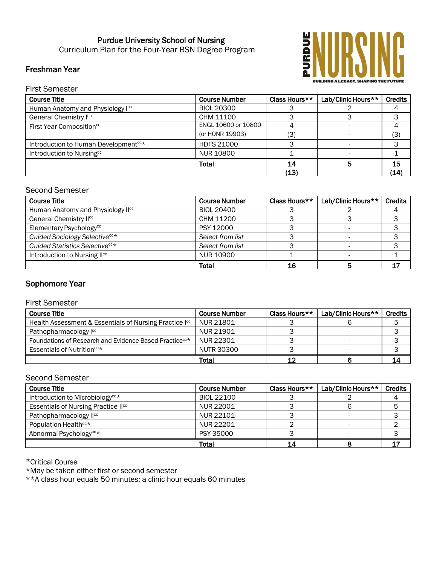# Purdue University School of Nursing Curriculum Plan for the Four-Year BSN Degree Program

## Freshman Year



First Semester

| <b>Course Title</b>                              | <b>Course Number</b> | Class Hours** | Lab/Clinic Hours** | <b>Credits</b> |
|--------------------------------------------------|----------------------|---------------|--------------------|----------------|
| Human Anatomy and Physiology Icc                 | <b>BIOL 20300</b>    |               |                    |                |
| General Chemistry Icc                            | CHM 11100            |               |                    |                |
| First Year Composition <sup>cc</sup>             | ENGL 10600 or 10800  |               |                    |                |
|                                                  | (or HONR 19903)      | (3)           |                    | (3)            |
| Introduction to Human Development <sup>cc*</sup> | <b>HDFS 21000</b>    |               |                    |                |
| Introduction to Nursingcc                        | <b>NUR 10800</b>     |               |                    |                |
|                                                  | Total                | 14            |                    | 15             |
|                                                  |                      | (13)          |                    | (14)           |

## Second Semester

| <b>Course Title</b>                        | <b>Course Number</b> | Class Hours** | Lab/Clinic Hours** | <b>Credits</b> |
|--------------------------------------------|----------------------|---------------|--------------------|----------------|
| Human Anatomy and Physiology IIcc          | <b>BIOL 20400</b>    |               |                    |                |
| General Chemistry II <sup>cc</sup>         | CHM 11200            |               |                    |                |
| Elementary Psychology <sup>cc</sup>        | PSY 12000            |               |                    |                |
| Guided Sociology Selective <sup>cc*</sup>  | Select from list     |               |                    |                |
| Guided Statistics Selective <sup>cc*</sup> | Select from list     |               |                    |                |
| Introduction to Nursing II <sup>cc</sup>   | NUR 10900            |               |                    |                |
|                                            | Total                | 16            |                    |                |

# Sophomore Year

## First Semester

| <b>Course Title</b>                                                | <b>Course Number</b> | Class Hours** | Lab/Clinic Hours** | <b>Credits</b> |
|--------------------------------------------------------------------|----------------------|---------------|--------------------|----------------|
| Health Assessment & Essentials of Nursing Practice I <sup>cc</sup> | NUR 21801            |               |                    |                |
| Pathopharmacology l <sup>cc</sup>                                  | NUR 21901            |               |                    |                |
| Foundations of Research and Evidence Based Practice <sup>cc*</sup> | NUR 22301            |               |                    |                |
| Essentials of Nutrition <sup>cc*</sup>                             | NUTR 30300           |               |                    |                |
|                                                                    | Total                |               |                    | 14             |

## Second Semester

| <b>Course Title</b>                             | <b>Course Number</b> | Class Hours** | Lab/Clinic Hours** | <b>Credits</b> |
|-------------------------------------------------|----------------------|---------------|--------------------|----------------|
| Introduction to Microbiology <sup>cc*</sup>     | BIOL 22100           |               |                    |                |
| Essentials of Nursing Practice II <sup>cc</sup> | NUR 22001            |               |                    |                |
| Pathopharmacology II <sup>cc</sup>              | NUR 22101            |               |                    |                |
| Population Health <sup>cc*</sup>                | NUR 22201            |               |                    |                |
| Abnormal Psychology <sup>cc*</sup>              | <b>PSY 35000</b>     |               |                    |                |
|                                                 | Total                | 14            |                    |                |

<sup>cc</sup>Critical Course

\*May be taken either first or second semester

\*\*A class hour equals 50 minutes; a clinic hour equals 60 minutes